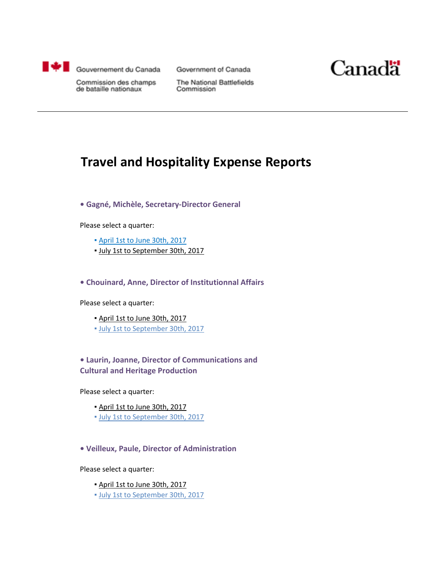

Government of Canada



Commission des champs de bataille nationaux

The National Battlefields Commission

### **Travel and Hospitality Expense Reports**

**• Gagné, Michèle, Secretary-Director General**

Please select a quarter:

- [April 1st to June 30th, 2017](#page-1-0)
- July 1st to September 30th, 2017

**• Chouinard, Anne, Director of Institutionnal Affairs**

Please select a quarter:

- April 1st to June 30th, 2017
- [July 1st to September 30th, 2017](#page-6-0)

### **• Laurin, Joanne, Director of Communications and Cultural and Heritage Production**

Please select a quarter:

- April 1st to June 30th, 2017
- [July 1st to September 30th, 2017](#page-8-0)

**• Veilleux, Paule, Director of Administration**

Please select a quarter:

- April 1st to June 30th, 2017
- [July 1st to September 30th, 2017](#page-10-0)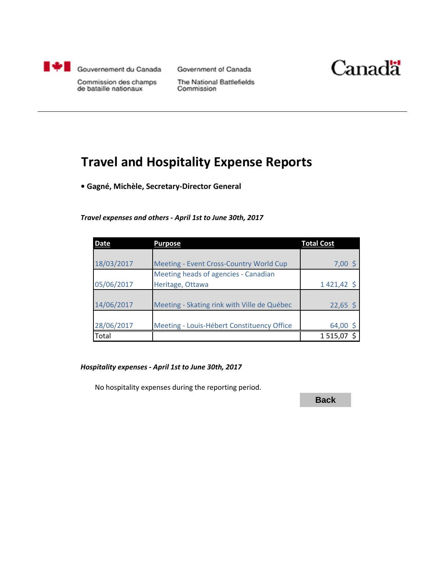<span id="page-1-0"></span>

Government of Canada



Commission des champs de bataille nationaux

The National Battlefields Commission

## **Travel and Hospitality Expense Reports**

**• Gagné, Michèle, Secretary-Director General**

#### *Travel expenses and others - April 1st to June 30th, 2017*

| <b>Date</b> | <b>Purpose</b>                              | <b>Total Cost</b> |
|-------------|---------------------------------------------|-------------------|
|             |                                             |                   |
| 18/03/2017  | Meeting - Event Cross-Country World Cup     | $7,00$ \$         |
|             | Meeting heads of agencies - Canadian        |                   |
| 05/06/2017  | Heritage, Ottawa                            | 1421,42 \$        |
|             |                                             |                   |
| 14/06/2017  | Meeting - Skating rink with Ville de Québec | $22,65$ \$        |
|             |                                             |                   |
| 28/06/2017  | Meeting - Louis-Hébert Constituency Office  | 64,00             |
| Total       |                                             | 1515,07           |

#### *Hospitality expenses - April 1st to June 30th, 2017*

No hospitality expenses during the reporting period.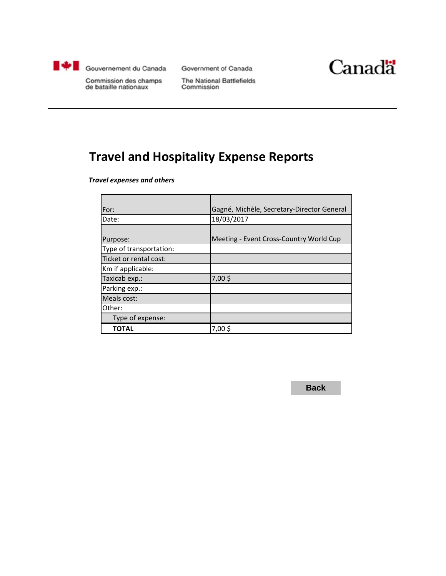<span id="page-2-0"></span>

Government of Canada



Commission des champs de bataille nationaux

The National Battlefields Commission

# **Travel and Hospitality Expense Reports**

*Travel expenses and others*

| For:                    | Gagné, Michèle, Secretary-Director General |
|-------------------------|--------------------------------------------|
| Date:                   | 18/03/2017                                 |
|                         |                                            |
| Purpose:                | Meeting - Event Cross-Country World Cup    |
| Type of transportation: |                                            |
| Ticket or rental cost:  |                                            |
| Km if applicable:       |                                            |
| Taxicab exp.:           | 7,00\$                                     |
| Parking exp.:           |                                            |
| Meals cost:             |                                            |
| Other:                  |                                            |
| Type of expense:        |                                            |
| TOTAL                   | 7,00\$                                     |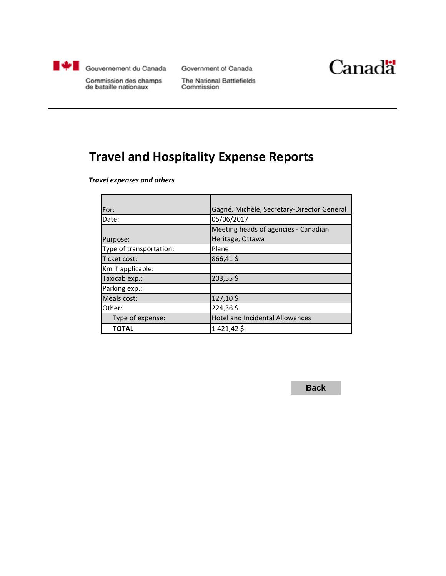<span id="page-3-0"></span>

Government of Canada



Commission des champs de bataille nationaux

The National Battlefields Commission

# **Travel and Hospitality Expense Reports**

*Travel expenses and others*

| For:                    | Gagné, Michèle, Secretary-Director General |
|-------------------------|--------------------------------------------|
| Date:                   | 05/06/2017                                 |
|                         | Meeting heads of agencies - Canadian       |
| Purpose:                | Heritage, Ottawa                           |
| Type of transportation: | Plane                                      |
| Ticket cost:            | 866,41\$                                   |
| Km if applicable:       |                                            |
| Taxicab exp.:           | 203,55\$                                   |
| Parking exp.:           |                                            |
| Meals cost:             | 127,10\$                                   |
| Other:                  | 224,36\$                                   |
| Type of expense:        | <b>Hotel and Incidental Allowances</b>     |
| <b>TOTAL</b>            | 1 421,42 \$                                |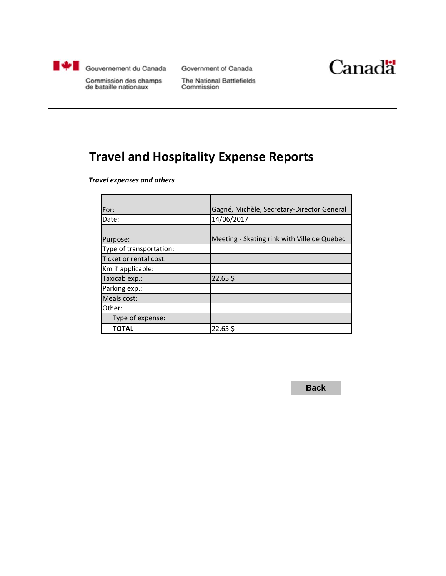<span id="page-4-0"></span>

Government of Canada



Commission des champs de bataille nationaux

The National Battlefields Commission

### **Travel and Hospitality Expense Reports**

*Travel expenses and others*

| For:                    | Gagné, Michèle, Secretary-Director General  |
|-------------------------|---------------------------------------------|
| Date:                   | 14/06/2017                                  |
|                         |                                             |
| Purpose:                | Meeting - Skating rink with Ville de Québec |
| Type of transportation: |                                             |
| Ticket or rental cost:  |                                             |
| Km if applicable:       |                                             |
| Taxicab exp.:           | 22,65\$                                     |
| Parking exp.:           |                                             |
| Meals cost:             |                                             |
| Other:                  |                                             |
| Type of expense:        |                                             |
| <b>TOTAL</b>            | 22,65\$                                     |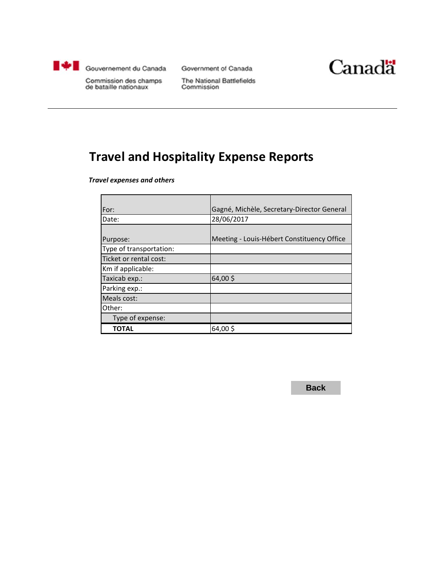<span id="page-5-0"></span>

Government of Canada



Commission des champs de bataille nationaux

The National Battlefields Commission

## **Travel and Hospitality Expense Reports**

*Travel expenses and others*

| For:                    | Gagné, Michèle, Secretary-Director General |
|-------------------------|--------------------------------------------|
| Date:                   | 28/06/2017                                 |
|                         |                                            |
| Purpose:                | Meeting - Louis-Hébert Constituency Office |
| Type of transportation: |                                            |
| Ticket or rental cost:  |                                            |
| Km if applicable:       |                                            |
| Taxicab exp.:           | 64,00\$                                    |
| Parking exp.:           |                                            |
| Meals cost:             |                                            |
| Other:                  |                                            |
| Type of expense:        |                                            |
| TOTAL                   | 64,00\$                                    |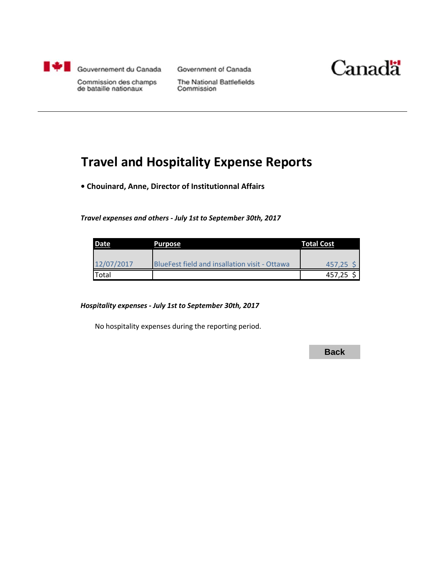<span id="page-6-0"></span>

Government of Canada



Commission des champs de bataille nationaux

The National Battlefields Commission

### **Travel and Hospitality Expense Reports**

**• Chouinard, Anne, Director of Institutionnal Affairs**

*Travel expenses and others - July 1st to September 30th, 2017*

| Date       | <b>Purpose</b>                                       | <b>Total Cost</b> |
|------------|------------------------------------------------------|-------------------|
|            |                                                      |                   |
| 12/07/2017 | <b>BlueFest field and insallation visit - Ottawa</b> | 457,25 S          |
| Total      |                                                      | 457,25            |

#### *Hospitality expenses - July 1st to September 30th, 2017*

No hospitality expenses during the reporting period.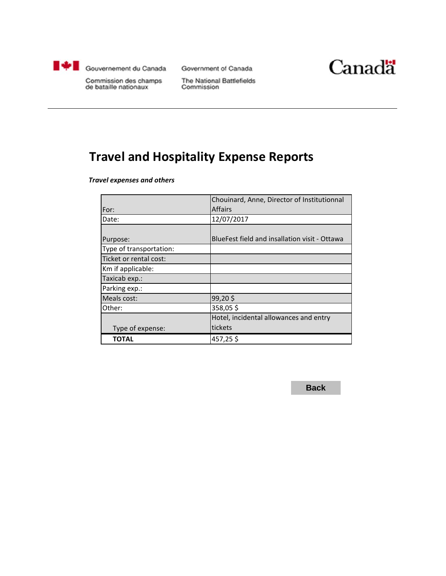<span id="page-7-0"></span>

Government of Canada



Commission des champs de bataille nationaux

The National Battlefields Commission

# **Travel and Hospitality Expense Reports**

*Travel expenses and others*

|                         | Chouinard, Anne, Director of Institutionnal   |
|-------------------------|-----------------------------------------------|
| For:                    | <b>Affairs</b>                                |
| Date:                   | 12/07/2017                                    |
|                         |                                               |
| Purpose:                | BlueFest field and insallation visit - Ottawa |
| Type of transportation: |                                               |
| Ticket or rental cost:  |                                               |
| Km if applicable:       |                                               |
| Taxicab exp.:           |                                               |
| Parking exp.:           |                                               |
| Meals cost:             | 99,20\$                                       |
| Other:                  | 358,05\$                                      |
|                         | Hotel, incidental allowances and entry        |
| Type of expense:        | tickets                                       |
| ΤΟΤΑL                   | 457,25\$                                      |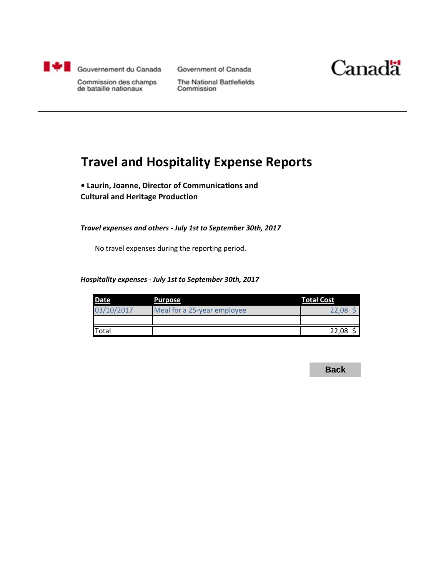<span id="page-8-0"></span>

Government of Canada



Commission des champs de bataille nationaux

The National Battlefields Commission

## **Travel and Hospitality Expense Reports**

**• Laurin, Joanne, Director of Communications and Cultural and Heritage Production**

*Travel expenses and others - July 1st to September 30th, 2017*

No travel expenses during the reporting period.

#### *Hospitality expenses - July 1st to September 30th, 2017*

| <b>Date</b>  | Purpose                     | <b>Total Cost</b> |
|--------------|-----------------------------|-------------------|
| 03/10/2017   | Meal for a 25-year employee | 22.08             |
|              |                             |                   |
| <b>Total</b> |                             | 22,08             |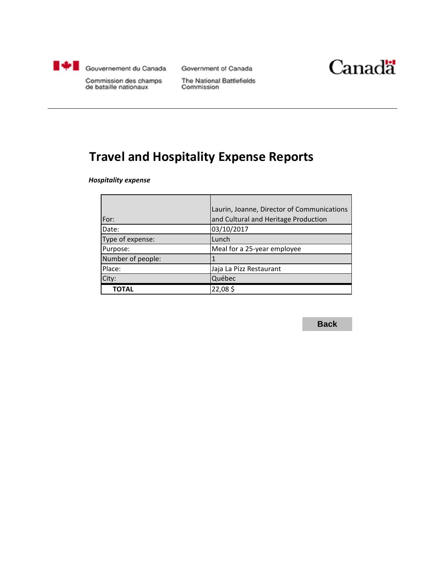<span id="page-9-0"></span>

Government of Canada



Commission des champs de bataille nationaux

The National Battlefields Commission

# **Travel and Hospitality Expense Reports**

*Hospitality expense*

|                   | Laurin, Joanne, Director of Communications |
|-------------------|--------------------------------------------|
| For:              | and Cultural and Heritage Production       |
| Date:             | 03/10/2017                                 |
| Type of expense:  | Lunch                                      |
| Purpose:          | Meal for a 25-year employee                |
| Number of people: |                                            |
| Place:            | Jaja La Pizz Restaurant                    |
| City:             | Québec                                     |
| ΤΟΤΑL             | 22,08\$                                    |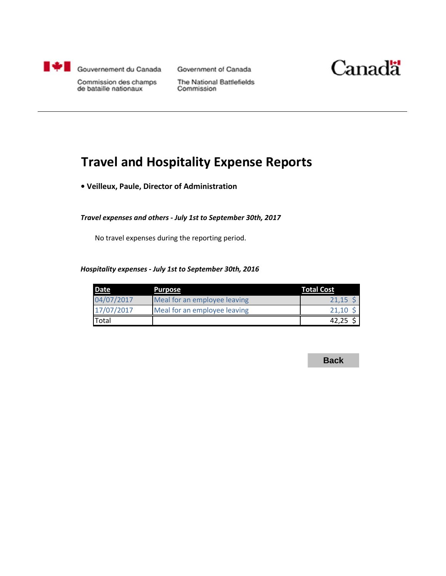<span id="page-10-0"></span>

Government of Canada



Commission des champs de bataille nationaux

The National Battlefields Commission

## **Travel and Hospitality Expense Reports**

**• Veilleux, Paule, Director of Administration**

#### *Travel expenses and others - July 1st to September 30th, 2017*

No travel expenses during the reporting period.

#### *Hospitality expenses - July 1st to September 30th, 2016*

| Date         | Purpose                      | <b>Total Cost</b> |
|--------------|------------------------------|-------------------|
| 04/07/2017   | Meal for an employee leaving | 21.15             |
| 17/07/2017   | Meal for an employee leaving | 21,10             |
| <b>Total</b> |                              | 42,25             |